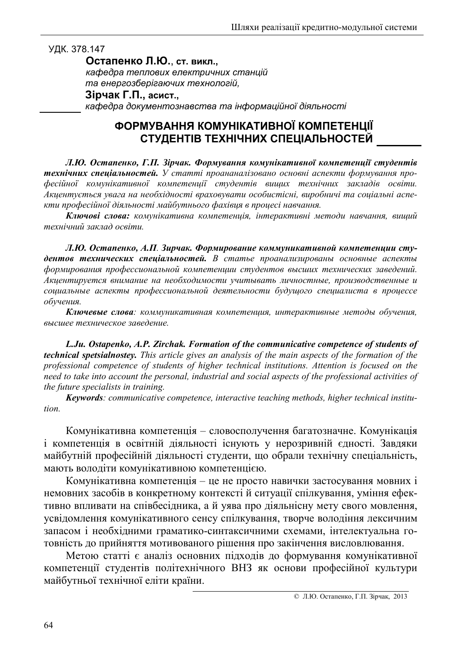## УДК. 378.147

Остапенко Л.Ю., ст. викл.,

кафедра теплових електричних станцій та енергозберігаючих технологій.

## Зірчак Г.П., асист.,

кафедра документознавства та інформаційної діяльності

## ФОРМУВАННЯ КОМУНІКАТИВНОЇ КОМПЕТЕНЦІЇ СТУДЕНТІВ ТЕХНІЧНИХ СПЕЦІАЛЬНОСТЕЙ

Л.Ю. Остапенко, Г.П. Зірчак. Формування комунікативної компетенції студентів технічних спеціальностей. У статті проананалізовано основні аспекти формування професійної комунікативної компетенції студентів вищих технічних закладів освіти. Акцентується увага на необхідності враховувати особистісні, виробничі та соціальні аспекти професійної діяльності майбутнього фахівця в процесі навчання.

Ключові слова: комунікативна компетенція, інтерактивні методи навчання, вищий технічний заклад освіти.

Л.Ю. Остапенко, А.П. Зирчак. Формирование коммуникативной компетенции студентов технических спеціальностей. В статье проанализированы основные аспекты формирования профессиональной компетенции студентов высших технических заведений. Акцентируется внимание на необходимости учитывать личностные, производственные и социальные аспекты профессиональной деятельности будущого специалиста в процессе обучения.

Ключевые слова: коммуникативная компетенция, интерактивные методы обучения, высшее техническое заведение.

L.Ju. Ostapenko, A.P. Zirchak. Formation of the communicative competence of students of technical spetsialnostey. This article gives an analysis of the main aspects of the formation of the professional competence of students of higher technical institutions. Attention is focused on the need to take into account the personal, industrial and social aspects of the professional activities of the future specialists in training.

Keywords: communicative competence, interactive teaching methods, higher technical institution.

Комунікативна компетенція - словосполучення багатозначне. Комунікація і компетенція в освітній діяльності існують у нерозривній єдності. Завдяки майбутній професійній діяльності студенти, що обрали технічну спеціальність, мають володіти комунікативною компетенцією.

Комунікативна компетенція - це не просто навички застосування мовних і немовних засобів в конкретному контексті й ситуації спілкування, уміння ефективно впливати на співбесідника, а й уява про діяльнісну мету свого мовлення, усвідомлення комунікативного сенсу спілкування, творче володіння лексичним запасом і необхідними граматико-синтаксичними схемами, інтелектуальна готовність до прийняття мотивованого рішення про закінчення висловлювання.

Метою статті є аналіз основних підходів до формування комунікативної компетенції студентів політехнічного ВНЗ як основи професійної культури майбутньої технічної еліти країни.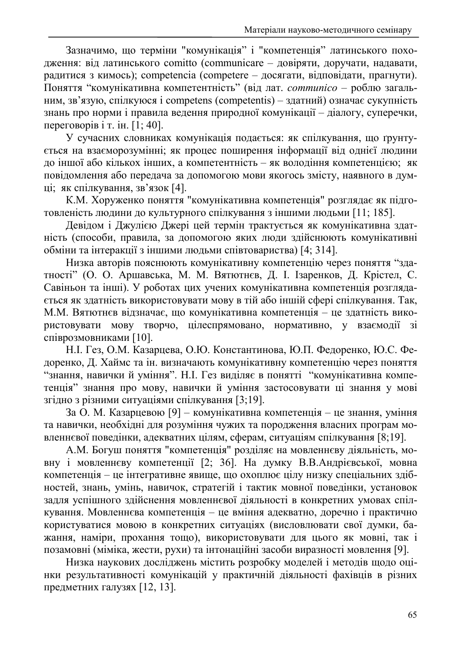Зазначимо, що терміни "комунікація" і "компетенція" латинського походження: від латинського comitto (communicare - довіряти, доручати, надавати, радитися з кимось); competencia (competere - досягати, відповідати, прагнути). Поняття "комунікативна компетентність" (від лат. *communico* - роблю загальним, зв'язую, спілкуюся і competents (competentis) – здатний) означає сукупність знань про норми і правила ведення природної комунікації – діалогу, суперечки, переговорив і т. ін.  $[1: 40]$ .

У сучасних словниках комунікація подається: як спілкування, що ґрунтується на взаєморозумінні; як процес поширення інформації від однієї людини до іншої або кількох інших, а компетентність - як володіння компетенцією; як повідомлення або передача за допомогою мови якогось змісту, наявного в думці; як спілкування, зв'язок [4].

К.М. Хоруженко поняття "комунікативна компетенція" розглядає як підготовленість людини до культурного спілкування з іншими людьми [11; 185].

Девідом і Джулією Джері цей термін трактується як комунікативна здатність (способи, правила, за допомогою яких люди здійснюють комунікативні обміни та інтеракції з іншими людьми співтовариства) [4; 314].

Низка авторів пояснюють комунікативну компетенцію через поняття "здатності" (О. О. Аршавська, М. М. Вятютнєв, Д. І. Ізаренков, Д. Крістел, С. Савіньон та інші). У роботах цих учених комунікативна компетенція розглядається як здатність використовувати мову в тій або іншій сфері спілкування. Так, М.М. Вятютнєв відзначає, що комунікативна компетенція - це здатність використовувати мову творчо, цілеспрямовано, нормативно, у взаємодії зі співрозмовниками [10].

Н.І. Гез, О.М. Казарцева, О.Ю. Константинова, Ю.П. Федоренко, Ю.С. Федоренко, Д. Хаймс та ін. визначають комунікативну компетенцію через поняття "знання, навички й уміння". Н.І. Гез виділяє в понятті "комунікативна компетенція" знання про мову, навички й уміння застосовувати ці знання у мові згідно з різними ситуаціями спілкування [3;19].

За О. М. Казарцевою [9] - комунікативна компетенція - це знання, уміння та навички, необхідні для розуміння чужих та породження власних програм мовленнєвої поведінки, адекватних цілям, сферам, ситуаціям спілкування [8;19].

А.М. Богуш поняття "компетенція" розділяє на мовленнєву діяльність, мовну і мовленнєву компетенції [2; 36]. На думку В.В.Андрієвської, мовна компетенція - це інтегративне явище, що охоплює цілу низку спеціальних здібностей, знань, умінь, навичок, стратегій і тактик мовної поведінки, установок задля успішного здійснення мовленнєвої діяльності в конкретних умовах спілкування. Мовленнєва компетенція - це вміння адекватно, доречно і практично користуватися мовою в конкретних ситуаціях (висловлювати свої думки, бажання, наміри, прохання тощо), використовувати для цього як мовні, так і позамовні (міміка, жести, рухи) та інтонаційні засоби виразності мовлення [9].

Низка наукових досліджень містить розробку моделей і методів щодо оцінки результативності комунікацій у практичній діяльності фахівців в різних предметних галузях [12, 13].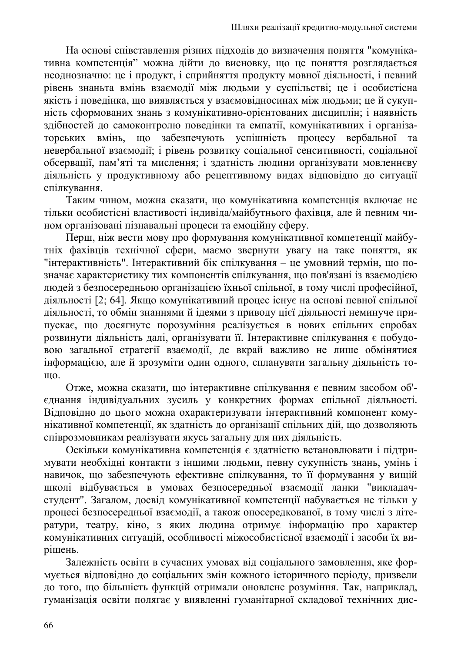На основі співставлення різних підходів до визначення поняття "комунікативна компетенція" можна дійти до висновку, що це поняття розглядається неоднозначно: це і продукт, і сприйняття продукту мовної діяльності, і певний рівень знаньта вмінь взаємодії між людьми у суспільстві; це і особистісна якість і поведінка, що виявляється у взаємовідносинах між людьми; це й сукупність сформованих знань з комунікативно-орієнтованих дисциплін; і наявність злібностей до самоконтролю повелінки та емпатії, комунікативних і організащо забезпечують успішність процесу вербальної торських вмінь, та невербальної взаємодії; і рівень розвитку соціальної сенситивності, соціальної обсервації, пам'яті та мислення; і здатність людини організувати мовленнєву діяльність у продуктивному або рецептивному видах відповідно до ситуації спілкування.

Таким чином, можна сказати, що комунікативна компетенція включає не тільки особистісні властивості індивіда/майбутнього фахівця, але й певним чином організовані пізнавальні процеси та емоційну сферу.

Перш, ніж вести мову про формування комунікативної компетенції майбутніх фахівців технічної сфери, маємо звернути увагу на таке поняття, як "інтерактивність". Інтерактивний бік спілкування - це умовний термін, що позначає характеристику тих компонентів спілкування, що пов'язані із взаємодією людей з безпосередньою організацією їхньої спільної, в тому числі професійної, діяльності [2; 64]. Якщо комунікативний процес існує на основі певної спільної діяльності, то обмін знаннями й ідеями з приводу цієї діяльності неминуче припускає, що досягнуте порозуміння реалізується в нових спільних спробах розвинути діяльність далі, організувати її. Інтерактивне спілкування є побудовою загальної стратегії взаємодії, де вкрай важливо не лише обмінятися інформацією, але й зрозуміти один одного, спланувати загальну діяльність то-Ш0.

Отже, можна сказати, що інтерактивне спілкування є певним засобом об'єднання індивідуальних зусиль у конкретних формах спільної діяльності. Відповідно до цього можна охарактеризувати інтерактивний компонент комунікативної компетенції, як здатність до організації спільних дій, що дозволяють співрозмовникам реалізувати якусь загальну для них діяльність.

Оскільки комунікативна компетенція є здатністю встановлювати і підтримувати необхідні контакти з іншими людьми, певну сукупність знань, умінь і навичок, що забезпечують ефективне спілкування, то її формування у вищій школі відбувається в умовах безпосередньої взаємодії ланки "викладачстудент". Загалом, досвід комунікативної компетенції набувається не тільки у процесі безпосередньої взаємодії, а також опосередкованої, в тому числі з літератури, театру, кіно, з яких людина отримує інформацію про характер комунікативних ситуацій, особливості міжособистісної взаємодії і засоби їх вирішень.

Залежність освіти в сучасних умовах від соціального замовлення, яке формується відповідно до соціальних змін кожного історичного періоду, призвели до того, що більшість функцій отримали оновлене розуміння. Так, наприклад, гуманізація освіти полягає у виявленні гуманітарної складової технічних дис-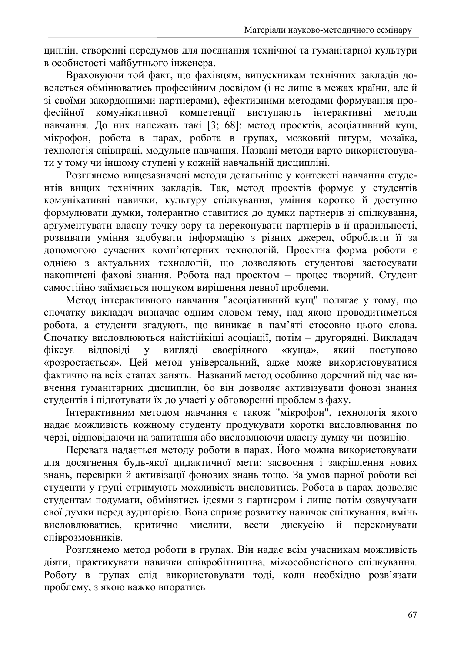циплін, створенні передумов для поєднання технічної та гуманітарної культури в особистості майбутнього інженера.

Враховуючи той факт, що фахівцям, випускникам технічних закладів доведеться обмінюватись професійним досвідом (і не лише в межах країни, але й зі своїми закордонними партнерами), ефективними методами формування прокомунікативної компетенції виступають *фесійної* інтерактивні метоли навчання. До них належать такі [3; 68]: метод проектів, асоціативний кущ, мікрофон, робота в парах, робота в групах, мозковий штурм, мозаїка, технологія співпраці, модульне навчання. Названі методи варто використовувати у тому чи іншому ступені у кожній навчальній дисципліні.

Розглянемо вищезазначені методи детальніше у контексті навчання студентів вищих технічних закладів. Так, метод проектів формує у студентів комунікативні навички, культуру спілкування, уміння коротко й доступно формулювати думки, толерантно ставитися до думки партнерів зі спілкування, аргументувати власну точку зору та переконувати партнерів в її правильності, розвивати уміння здобувати інформацію з різних джерел, обробляти її за допомогою сучасних комп'ютерних технологій. Проектна форма роботи є однією з актуальних технологій, що дозволяють студентові застосувати накопичені фахові знання. Робота над проектом - процес творчий. Студент самостійно займається пошуком вирішення певної проблеми.

Метод інтерактивного навчання "асоціативний кущ" полягає у тому, що спочатку викладач визначає одним словом тему, над якою проводитиметься робота, а студенти згадують, що виникає в пам'яті стосовно цього слова. Спочатку висловлюються найстійкіші асоціації, потім - другорядні. Викладач своєрідного  $\dot{\theta}$ ikcve відповіді вигляді «куща». який поступово  $\overline{\mathbf{V}}$ «розростається». Цей метод універсальний, адже може використовуватися фактично на всіх етапах занять. Названий метод особливо доречний під час вивчення гуманітарних дисциплін, бо він дозволяє активізувати фонові знання студентів і підготувати їх до участі у обговоренні проблем з фаху.

Інтерактивним методом навчання є також "мікрофон", технологія якого надає можливість кожному студенту продукувати короткі висловлювання по черзі, відповідаючи на запитання або висловлюючи власну думку чи позицію.

Перевага надається методу роботи в парах. Його можна використовувати для досягнення будь-якої дидактичної мети: засвоєння і закріплення нових знань, перевірки й активізації фонових знань тощо. За умов парної роботи всі студенти у групі отримують можливість висловитись. Робота в парах дозволяє студентам подумати, обмінятись ідеями з партнером і лише потім озвучувати свої думки перед аудиторією. Вона сприяє розвитку навичок спілкування, вмінь висловлюватись, мислити, критично вести лискусію переконувати й співрозмовників.

Розглянемо метод роботи в групах. Він надає всім учасникам можливість діяти, практикувати навички співробітництва, міжособистісного спілкування. Роботу в групах слід використовувати тоді, коли необхідно розв'язати проблему, з якою важко впоратись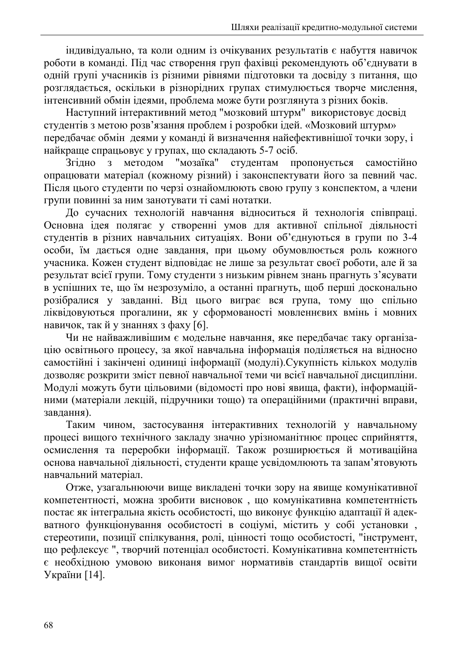індивідуально, та коли одним із очікуваних результатів є набуття навичок роботи в команді. Під час створення груп фахівці рекомендують об'єднувати в одній групі учасників із різними рівнями підготовки та досвіду з питання, що розглядається, оскільки в різнорідних групах стимулюється творче мислення, інтенсивний обмін ідеями, проблема може бути розглянута з різних боків.

Наступний інтерактивний метод "мозковий штурм" використовує досвід студентів з метою розв'язання проблем і розробки ідей. «Мозковий штурм» передбачає обмін деями у команді й визначення найефективнішої точки зору, і найкраще спрацьовує у групах, що складають 5-7 осіб.

Згілно методом "мозаїка" студентам самостійно  $\overline{3}$ пропонується опрацювати матеріал (кожному різний) і законспектувати його за певний час. Після цього студенти по черзі ознайомлюють свою групу з конспектом, а члени групи повинні за ним занотувати ті самі нотатки.

До сучасних технологій навчання відноситься й технологія співпраці. Основна ідея полягає у створенні умов для активної спільної діяльності студентів в різних навчальних ситуаціях. Вони об'єднуються в групи по 3-4 особи, їм дається одне завдання, при цьому обумовлюється роль кожного учасника. Кожен студент відповідає не лише за результат своєї роботи, але й за результат всієї групи. Тому студенти з низьким рівнем знань прагнуть з'ясувати в успішних те, що їм незрозуміло, а останні прагнуть, щоб перші досконально розібралися у завданні. Від цього виграє вся група, тому що спільно ліквідовуються прогалини, як у сформованості мовленнєвих вмінь і мовних навичок, так й у знаннях з фаху [6].

Чи не найважливішим є модельне навчання, яке передбачає таку організацію освітнього процесу, за якої навчальна інформація поділяється на відносно самостійні і закінчені одиниці інформації (модулі). Сукупність кількох модулів дозволяє розкрити зміст певної навчальної теми чи всієї навчальної дисципліни. Модулі можуть бути цільовими (відомості про нові явища, факти), інформаційними (матеріали лекцій, підручники тощо) та операційними (практичні вправи, завлання).

Таким чином, застосування інтерактивних технологій у навчальному процесі вищого технічного закладу значно урізноманітнює процес сприйняття, осмислення та переробки інформації. Також розширюється й мотиваційна основа навчальної діяльності, студенти краще усвідомлюють та запам'ятовують навчальний матеріал.

Отже, узагальнюючи вище викладені точки зору на явище комунікативної компетентності, можна зробити висновок, що комунікативна компетентність постає як інтегральна якість особистості, що виконує функцію адаптації й адекватного функціонування особистості в соціумі, містить у собі установки, стереотипи, позиції спілкування, ролі, цінності тощо особистості, "інструмент, що рефлексує ", творчий потенціал особистості. Комунікативна компетентність є необхідною умовою виконаня вимог нормативів стандартів вищої освіти України [14].